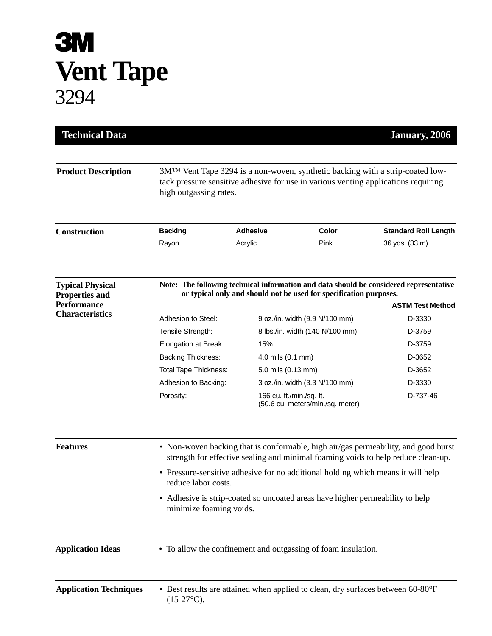## **3M Vent Tape** 3294

| <b>Technical Data</b>                            |                                                                                                                                                                                                |                    |                                                              | January, 2006               |  |
|--------------------------------------------------|------------------------------------------------------------------------------------------------------------------------------------------------------------------------------------------------|--------------------|--------------------------------------------------------------|-----------------------------|--|
| <b>Product Description</b>                       | 3MTM Vent Tape 3294 is a non-woven, synthetic backing with a strip-coated low-<br>tack pressure sensitive adhesive for use in various venting applications requiring<br>high outgassing rates. |                    |                                                              |                             |  |
| <b>Construction</b>                              | <b>Backing</b>                                                                                                                                                                                 | <b>Adhesive</b>    | Color                                                        | <b>Standard Roll Length</b> |  |
|                                                  | Rayon                                                                                                                                                                                          | Acrylic            | Pink                                                         | 36 yds. (33 m)              |  |
| <b>Typical Physical</b><br><b>Properties and</b> | Note: The following technical information and data should be considered representative<br>or typical only and should not be used for specification purposes.                                   |                    |                                                              |                             |  |
| <b>Performance</b><br><b>Characteristics</b>     |                                                                                                                                                                                                |                    |                                                              | <b>ASTM Test Method</b>     |  |
|                                                  | Adhesion to Steel:                                                                                                                                                                             |                    | 9 oz./in. width (9.9 N/100 mm)                               | D-3330                      |  |
|                                                  | Tensile Strength:                                                                                                                                                                              |                    | 8 lbs./in. width (140 N/100 mm)                              | D-3759                      |  |
|                                                  | Elongation at Break:                                                                                                                                                                           | 15%                |                                                              | D-3759                      |  |
|                                                  | <b>Backing Thickness:</b>                                                                                                                                                                      | 4.0 mils (0.1 mm)  |                                                              | D-3652                      |  |
|                                                  | <b>Total Tape Thickness:</b>                                                                                                                                                                   | 5.0 mils (0.13 mm) |                                                              | D-3652                      |  |
|                                                  | Adhesion to Backing:                                                                                                                                                                           |                    | 3 oz./in. width (3.3 N/100 mm)                               | D-3330                      |  |
|                                                  | Porosity:                                                                                                                                                                                      |                    | 166 cu. ft./min./sq. ft.<br>(50.6 cu. meters/min./sq. meter) | D-737-46                    |  |
| <b>Features</b>                                  | • Non-woven backing that is conformable, high air/gas permeability, and good burst<br>strength for effective sealing and minimal foaming voids to help reduce clean-up.                        |                    |                                                              |                             |  |
|                                                  | • Pressure-sensitive adhesive for no additional holding which means it will help<br>reduce labor costs.                                                                                        |                    |                                                              |                             |  |
|                                                  | • Adhesive is strip-coated so uncoated areas have higher permeability to help<br>minimize foaming voids.                                                                                       |                    |                                                              |                             |  |
| <b>Application Ideas</b>                         | • To allow the confinement and outgassing of foam insulation.                                                                                                                                  |                    |                                                              |                             |  |
| <b>Application Techniques</b>                    | • Best results are attained when applied to clean, dry surfaces between 60-80°F<br>$(15-27^{\circ}C).$                                                                                         |                    |                                                              |                             |  |